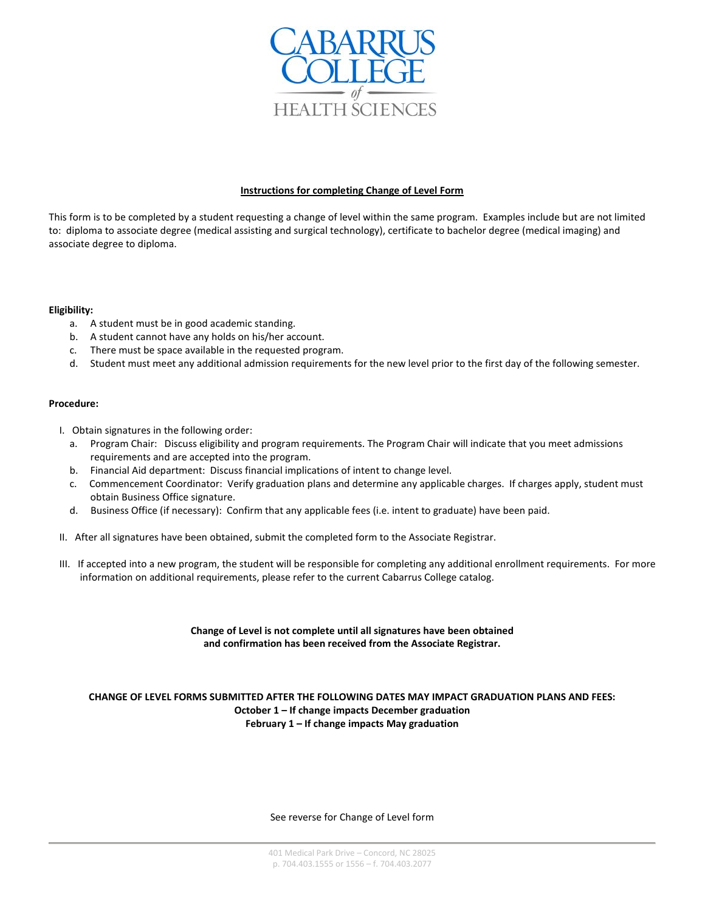

### **Instructions for completing Change of Level Form**

This form is to be completed by a student requesting a change of level within the same program. Examples include but are not limited to: diploma to associate degree (medical assisting and surgical technology), certificate to bachelor degree (medical imaging) and associate degree to diploma.

#### **Eligibility:**

- a. A student must be in good academic standing.
- b. A student cannot have any holds on his/her account.
- c. There must be space available in the requested program.
- d. Student must meet any additional admission requirements for the new level prior to the first day of the following semester.

#### **Procedure:**

- I. Obtain signatures in the following order:
	- a. Program Chair: Discuss eligibility and program requirements. The Program Chair will indicate that you meet admissions requirements and are accepted into the program.
	- b. Financial Aid department: Discuss financial implications of intent to change level.
	- c. Commencement Coordinator: Verify graduation plans and determine any applicable charges. If charges apply, student must obtain Business Office signature.
	- d. Business Office (if necessary): Confirm that any applicable fees (i.e. intent to graduate) have been paid.
- II. After all signatures have been obtained, submit the completed form to the Associate Registrar.
- III. If accepted into a new program, the student will be responsible for completing any additional enrollment requirements. For more information on additional requirements, please refer to the current Cabarrus College catalog.

## **Change of Level is not complete until all signatures have been obtained and confirmation has been received from the Associate Registrar.**

**CHANGE OF LEVEL FORMS SUBMITTED AFTER THE FOLLOWING DATES MAY IMPACT GRADUATION PLANS AND FEES: October 1 – If change impacts December graduation February 1 – If change impacts May graduation**

See reverse for Change of Level form